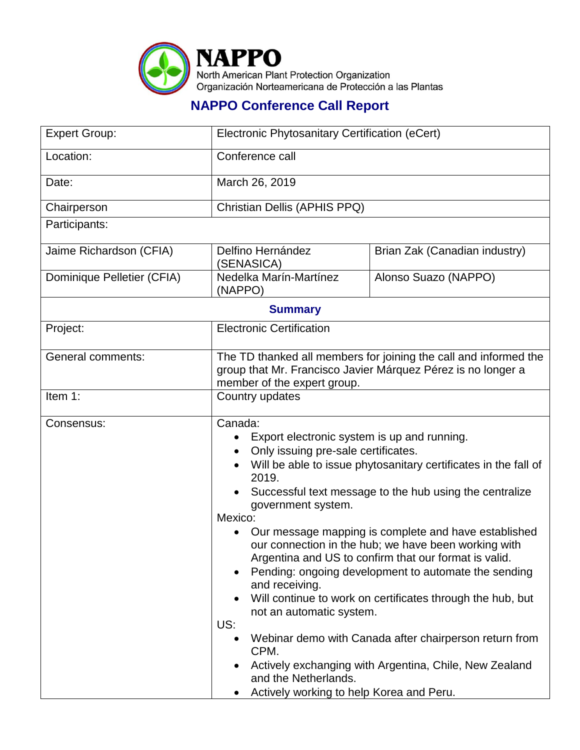

## **NAPPO Conference Call Report**

| <b>Expert Group:</b>       | Electronic Phytosanitary Certification (eCert)                                                                                                                                                                                                                                                                                                                                                                                                                                                                                                                                                                                                                                                                                                                                                                            |                               |  |  |
|----------------------------|---------------------------------------------------------------------------------------------------------------------------------------------------------------------------------------------------------------------------------------------------------------------------------------------------------------------------------------------------------------------------------------------------------------------------------------------------------------------------------------------------------------------------------------------------------------------------------------------------------------------------------------------------------------------------------------------------------------------------------------------------------------------------------------------------------------------------|-------------------------------|--|--|
| Location:                  | Conference call                                                                                                                                                                                                                                                                                                                                                                                                                                                                                                                                                                                                                                                                                                                                                                                                           |                               |  |  |
| Date:                      | March 26, 2019                                                                                                                                                                                                                                                                                                                                                                                                                                                                                                                                                                                                                                                                                                                                                                                                            |                               |  |  |
| Chairperson                | Christian Dellis (APHIS PPQ)                                                                                                                                                                                                                                                                                                                                                                                                                                                                                                                                                                                                                                                                                                                                                                                              |                               |  |  |
| Participants:              |                                                                                                                                                                                                                                                                                                                                                                                                                                                                                                                                                                                                                                                                                                                                                                                                                           |                               |  |  |
| Jaime Richardson (CFIA)    | Delfino Hernández<br>(SENASICA)                                                                                                                                                                                                                                                                                                                                                                                                                                                                                                                                                                                                                                                                                                                                                                                           | Brian Zak (Canadian industry) |  |  |
| Dominique Pelletier (CFIA) | Nedelka Marín-Martínez<br>(NAPPO)                                                                                                                                                                                                                                                                                                                                                                                                                                                                                                                                                                                                                                                                                                                                                                                         | Alonso Suazo (NAPPO)          |  |  |
| <b>Summary</b>             |                                                                                                                                                                                                                                                                                                                                                                                                                                                                                                                                                                                                                                                                                                                                                                                                                           |                               |  |  |
| Project:                   | <b>Electronic Certification</b>                                                                                                                                                                                                                                                                                                                                                                                                                                                                                                                                                                                                                                                                                                                                                                                           |                               |  |  |
| <b>General comments:</b>   | The TD thanked all members for joining the call and informed the<br>group that Mr. Francisco Javier Márquez Pérez is no longer a<br>member of the expert group.                                                                                                                                                                                                                                                                                                                                                                                                                                                                                                                                                                                                                                                           |                               |  |  |
| Item 1:                    | Country updates                                                                                                                                                                                                                                                                                                                                                                                                                                                                                                                                                                                                                                                                                                                                                                                                           |                               |  |  |
| Consensus:                 | Canada:<br>Export electronic system is up and running.<br>Only issuing pre-sale certificates.<br>Will be able to issue phytosanitary certificates in the fall of<br>2019.<br>Successful text message to the hub using the centralize<br>government system.<br>Mexico:<br>Our message mapping is complete and have established<br>our connection in the hub; we have been working with<br>Argentina and US to confirm that our format is valid.<br>Pending: ongoing development to automate the sending<br>and receiving.<br>Will continue to work on certificates through the hub, but<br>not an automatic system.<br>US:<br>Webinar demo with Canada after chairperson return from<br>CPM.<br>Actively exchanging with Argentina, Chile, New Zealand<br>and the Netherlands.<br>Actively working to help Korea and Peru. |                               |  |  |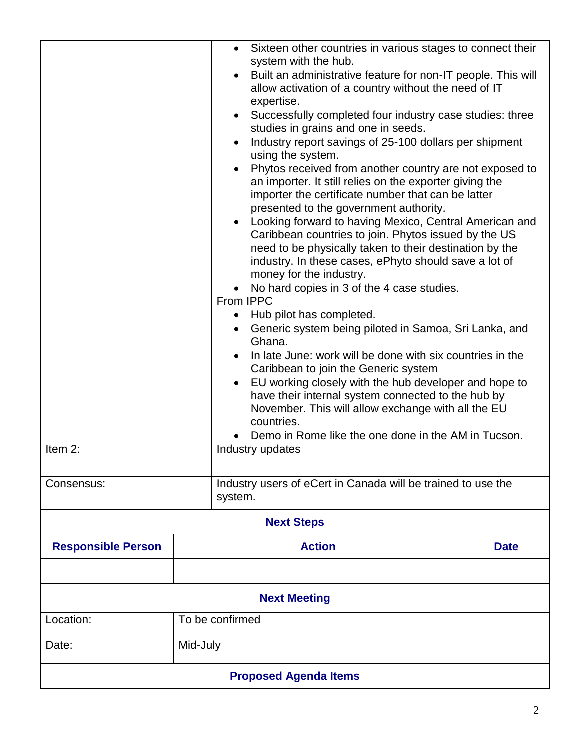|                              |                                                     | • Sixteen other countries in various stages to connect their                                                                                                                                                                                                                                                                                                                                                                                                                                                                                                                                                                                                                                                                                                                                                                                                                                                                                                                                                                                                                                                                      |             |  |
|------------------------------|-----------------------------------------------------|-----------------------------------------------------------------------------------------------------------------------------------------------------------------------------------------------------------------------------------------------------------------------------------------------------------------------------------------------------------------------------------------------------------------------------------------------------------------------------------------------------------------------------------------------------------------------------------------------------------------------------------------------------------------------------------------------------------------------------------------------------------------------------------------------------------------------------------------------------------------------------------------------------------------------------------------------------------------------------------------------------------------------------------------------------------------------------------------------------------------------------------|-------------|--|
|                              |                                                     | system with the hub.<br>Built an administrative feature for non-IT people. This will<br>$\bullet$<br>allow activation of a country without the need of IT<br>expertise.<br>Successfully completed four industry case studies: three<br>$\bullet$<br>studies in grains and one in seeds.<br>Industry report savings of 25-100 dollars per shipment<br>using the system.<br>Phytos received from another country are not exposed to<br>an importer. It still relies on the exporter giving the<br>importer the certificate number that can be latter<br>presented to the government authority.<br>Looking forward to having Mexico, Central American and<br>Caribbean countries to join. Phytos issued by the US<br>need to be physically taken to their destination by the<br>industry. In these cases, ePhyto should save a lot of<br>money for the industry.<br>No hard copies in 3 of the 4 case studies.<br>From IPPC<br>Hub pilot has completed.<br>٠<br>Generic system being piloted in Samoa, Sri Lanka, and<br>Ghana.<br>In late June: work will be done with six countries in the<br>Caribbean to join the Generic system |             |  |
|                              |                                                     | EU working closely with the hub developer and hope to<br>$\bullet$<br>have their internal system connected to the hub by<br>November. This will allow exchange with all the EU<br>countries.                                                                                                                                                                                                                                                                                                                                                                                                                                                                                                                                                                                                                                                                                                                                                                                                                                                                                                                                      |             |  |
|                              | Demo in Rome like the one done in the AM in Tucson. |                                                                                                                                                                                                                                                                                                                                                                                                                                                                                                                                                                                                                                                                                                                                                                                                                                                                                                                                                                                                                                                                                                                                   |             |  |
| Item 2:<br>Industry updates  |                                                     |                                                                                                                                                                                                                                                                                                                                                                                                                                                                                                                                                                                                                                                                                                                                                                                                                                                                                                                                                                                                                                                                                                                                   |             |  |
| Consensus:                   |                                                     | Industry users of eCert in Canada will be trained to use the<br>system.                                                                                                                                                                                                                                                                                                                                                                                                                                                                                                                                                                                                                                                                                                                                                                                                                                                                                                                                                                                                                                                           |             |  |
| <b>Next Steps</b>            |                                                     |                                                                                                                                                                                                                                                                                                                                                                                                                                                                                                                                                                                                                                                                                                                                                                                                                                                                                                                                                                                                                                                                                                                                   |             |  |
| <b>Responsible Person</b>    |                                                     | <b>Action</b>                                                                                                                                                                                                                                                                                                                                                                                                                                                                                                                                                                                                                                                                                                                                                                                                                                                                                                                                                                                                                                                                                                                     | <b>Date</b> |  |
|                              |                                                     |                                                                                                                                                                                                                                                                                                                                                                                                                                                                                                                                                                                                                                                                                                                                                                                                                                                                                                                                                                                                                                                                                                                                   |             |  |
| <b>Next Meeting</b>          |                                                     |                                                                                                                                                                                                                                                                                                                                                                                                                                                                                                                                                                                                                                                                                                                                                                                                                                                                                                                                                                                                                                                                                                                                   |             |  |
| Location:                    | To be confirmed                                     |                                                                                                                                                                                                                                                                                                                                                                                                                                                                                                                                                                                                                                                                                                                                                                                                                                                                                                                                                                                                                                                                                                                                   |             |  |
| Date:                        | Mid-July                                            |                                                                                                                                                                                                                                                                                                                                                                                                                                                                                                                                                                                                                                                                                                                                                                                                                                                                                                                                                                                                                                                                                                                                   |             |  |
| <b>Proposed Agenda Items</b> |                                                     |                                                                                                                                                                                                                                                                                                                                                                                                                                                                                                                                                                                                                                                                                                                                                                                                                                                                                                                                                                                                                                                                                                                                   |             |  |